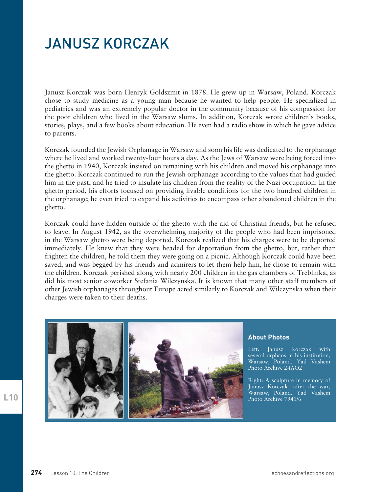## JANUSZ KORCZAK

Janusz Korczak was born Henryk Goldszmit in 1878. He grew up in Warsaw, Poland. Korczak chose to study medicine as a young man because he wanted to help people. He specialized in pediatrics and was an extremely popular doctor in the community because of his compassion for the poor children who lived in the Warsaw slums. In addition, Korczak wrote children's books, stories, plays, and a few books about education. He even had a radio show in which he gave advice to parents.

Korczak founded the Jewish Orphanage in Warsaw and soon his life was dedicated to the orphanage where he lived and worked twenty-four hours a day. As the Jews of Warsaw were being forced into the ghetto in 1940, Korczak insisted on remaining with his children and moved his orphanage into the ghetto. Korczak continued to run the Jewish orphanage according to the values that had guided him in the past, and he tried to insulate his children from the reality of the Nazi occupation. In the ghetto period, his efforts focused on providing livable conditions for the two hundred children in the orphanage; he even tried to expand his activities to encompass other abandoned children in the ghetto.

Korczak could have hidden outside of the ghetto with the aid of Christian friends, but he refused to leave. In August 1942, as the overwhelming majority of the people who had been imprisoned in the Warsaw ghetto were being deported, Korczak realized that his charges were to be deported immediately. He knew that they were headed for deportation from the ghetto, but, rather than frighten the children, he told them they were going on a picnic. Although Korczak could have been saved, and was begged by his friends and admirers to let them help him, he chose to remain with the children. Korczak perished along with nearly 200 children in the gas chambers of Treblinka, as did his most senior coworker Stefania Wilczynska. It is known that many other staff members of other Jewish orphanages throughout Europe acted similarly to Korczak and Wilczynska when their charges were taken to their deaths.



## **About Photos**

Left: Janusz Korczak with several orphans in his institution, Warsaw, Poland. Yad Vashem Photo Archive 24AO2

Right: A sculpture in memory of Janusz Korczak, after the war, Warsaw, Poland. Yad Vashem Photo Archive 7941/6